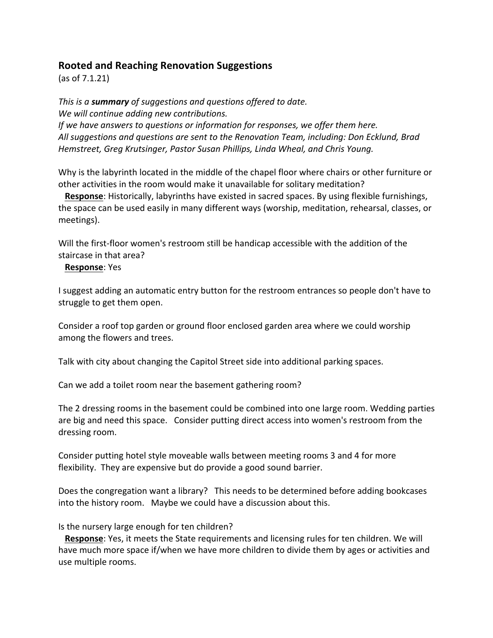## **Rooted and Reaching Renovation Suggestions**

 $(as of 7.1.21)$ 

*This is a summary of suggestions and questions offered to date. We will continue adding new contributions. If* we have answers to questions or information for responses, we offer them here. All suggestions and questions are sent to the Renovation Team, including: Don Ecklund, Brad *Hemstreet, Greg Krutsinger, Pastor Susan Phillips, Linda Wheal, and Chris Young.* 

Why is the labyrinth located in the middle of the chapel floor where chairs or other furniture or other activities in the room would make it unavailable for solitary meditation?

**Response**: Historically, labyrinths have existed in sacred spaces. By using flexible furnishings, the space can be used easily in many different ways (worship, meditation, rehearsal, classes, or meetings). 

Will the first-floor women's restroom still be handicap accessible with the addition of the staircase in that area?

## **Response:** Yes

I suggest adding an automatic entry button for the restroom entrances so people don't have to struggle to get them open.

Consider a roof top garden or ground floor enclosed garden area where we could worship among the flowers and trees.

Talk with city about changing the Capitol Street side into additional parking spaces.

Can we add a toilet room near the basement gathering room?

The 2 dressing rooms in the basement could be combined into one large room. Wedding parties are big and need this space. Consider putting direct access into women's restroom from the dressing room.

Consider putting hotel style moveable walls between meeting rooms 3 and 4 for more flexibility. They are expensive but do provide a good sound barrier.

Does the congregation want a library? This needs to be determined before adding bookcases into the history room. Maybe we could have a discussion about this.

Is the nursery large enough for ten children?

**Response:** Yes, it meets the State requirements and licensing rules for ten children. We will have much more space if/when we have more children to divide them by ages or activities and use multiple rooms.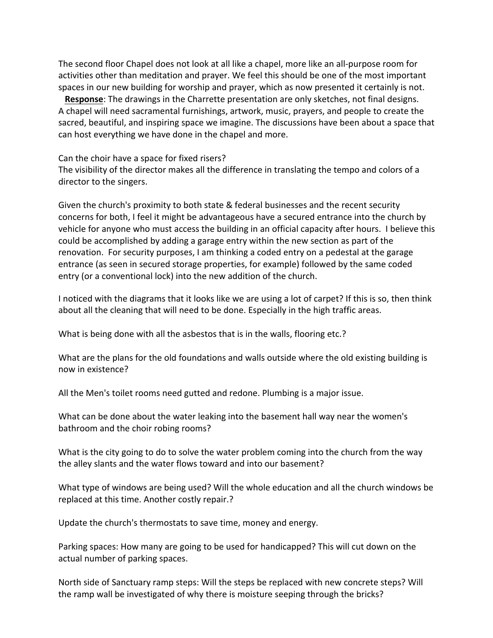The second floor Chapel does not look at all like a chapel, more like an all-purpose room for activities other than meditation and prayer. We feel this should be one of the most important spaces in our new building for worship and prayer, which as now presented it certainly is not.

**Response**: The drawings in the Charrette presentation are only sketches, not final designs. A chapel will need sacramental furnishings, artwork, music, prayers, and people to create the sacred, beautiful, and inspiring space we imagine. The discussions have been about a space that can host everything we have done in the chapel and more.

## Can the choir have a space for fixed risers?

The visibility of the director makes all the difference in translating the tempo and colors of a director to the singers.

Given the church's proximity to both state & federal businesses and the recent security concerns for both, I feel it might be advantageous have a secured entrance into the church by vehicle for anyone who must access the building in an official capacity after hours. I believe this could be accomplished by adding a garage entry within the new section as part of the renovation. For security purposes, I am thinking a coded entry on a pedestal at the garage entrance (as seen in secured storage properties, for example) followed by the same coded entry (or a conventional lock) into the new addition of the church.

I noticed with the diagrams that it looks like we are using a lot of carpet? If this is so, then think about all the cleaning that will need to be done. Especially in the high traffic areas.

What is being done with all the asbestos that is in the walls, flooring etc.?

What are the plans for the old foundations and walls outside where the old existing building is now in existence?

All the Men's toilet rooms need gutted and redone. Plumbing is a major issue.

What can be done about the water leaking into the basement hall way near the women's bathroom and the choir robing rooms?

What is the city going to do to solve the water problem coming into the church from the way the alley slants and the water flows toward and into our basement?

What type of windows are being used? Will the whole education and all the church windows be replaced at this time. Another costly repair.?

Update the church's thermostats to save time, money and energy.

Parking spaces: How many are going to be used for handicapped? This will cut down on the actual number of parking spaces.

North side of Sanctuary ramp steps: Will the steps be replaced with new concrete steps? Will the ramp wall be investigated of why there is moisture seeping through the bricks?